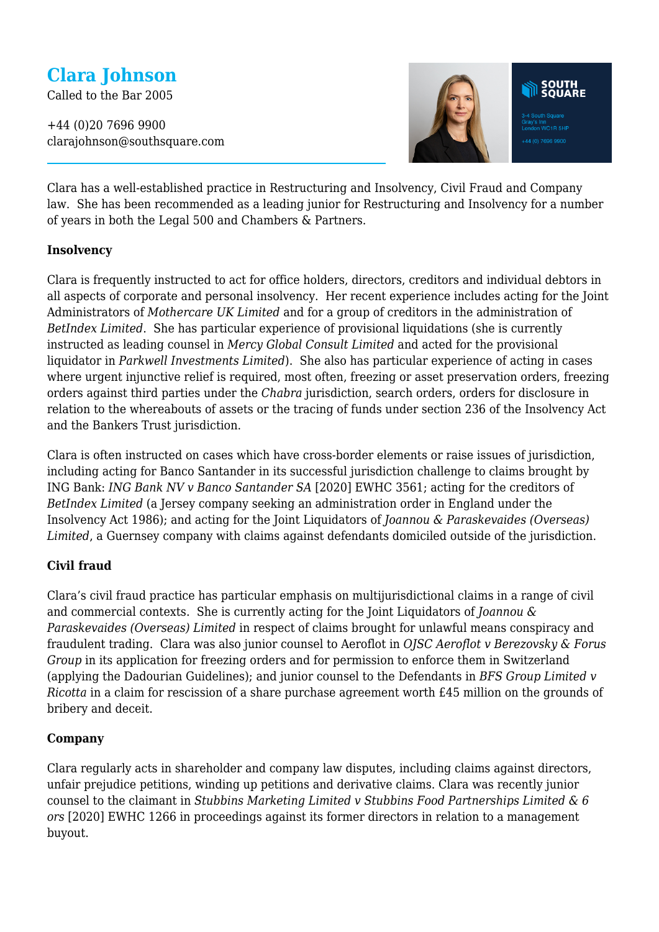# **Clara Johnson**

Called to the Bar 2005

+44 (0)20 7696 9900 clarajohnson@southsquare.com



Clara has a well-established practice in Restructuring and Insolvency, Civil Fraud and Company law. She has been recommended as a leading junior for Restructuring and Insolvency for a number of years in both the Legal 500 and Chambers & Partners.

#### **Insolvency**

Clara is frequently instructed to act for office holders, directors, creditors and individual debtors in all aspects of corporate and personal insolvency. Her recent experience includes acting for the Joint Administrators of *Mothercare UK Limited* and for a group of creditors in the administration of *BetIndex Limited*. She has particular experience of provisional liquidations (she is currently instructed as leading counsel in *Mercy Global Consult Limited* and acted for the provisional liquidator in *Parkwell Investments Limited*). She also has particular experience of acting in cases where urgent injunctive relief is required, most often, freezing or asset preservation orders, freezing orders against third parties under the *Chabra* jurisdiction, search orders, orders for disclosure in relation to the whereabouts of assets or the tracing of funds under section 236 of the Insolvency Act and the Bankers Trust jurisdiction.

Clara is often instructed on cases which have cross-border elements or raise issues of jurisdiction, including acting for Banco Santander in its successful jurisdiction challenge to claims brought by ING Bank: *ING Bank NV v Banco Santander SA* [2020] EWHC 3561; acting for the creditors of *BetIndex Limited* (a Jersey company seeking an administration order in England under the Insolvency Act 1986); and acting for the Joint Liquidators of *Joannou & Paraskevaides (Overseas) Limited*, a Guernsey company with claims against defendants domiciled outside of the jurisdiction.

#### **Civil fraud**

Clara's civil fraud practice has particular emphasis on multijurisdictional claims in a range of civil and commercial contexts. She is currently acting for the Joint Liquidators of *Joannou & Paraskevaides (Overseas) Limited* in respect of claims brought for unlawful means conspiracy and fraudulent trading. Clara was also junior counsel to Aeroflot in *OJSC Aeroflot v Berezovsky & Forus Group* in its application for freezing orders and for permission to enforce them in Switzerland (applying the Dadourian Guidelines); and junior counsel to the Defendants in *BFS Group Limited v Ricotta* in a claim for rescission of a share purchase agreement worth £45 million on the grounds of bribery and deceit.

#### **Company**

Clara regularly acts in shareholder and company law disputes, including claims against directors, unfair prejudice petitions, winding up petitions and derivative claims. Clara was recently junior counsel to the claimant in *Stubbins Marketing Limited v Stubbins Food Partnerships Limited & 6 ors* [2020] EWHC 1266 in proceedings against its former directors in relation to a management buyout.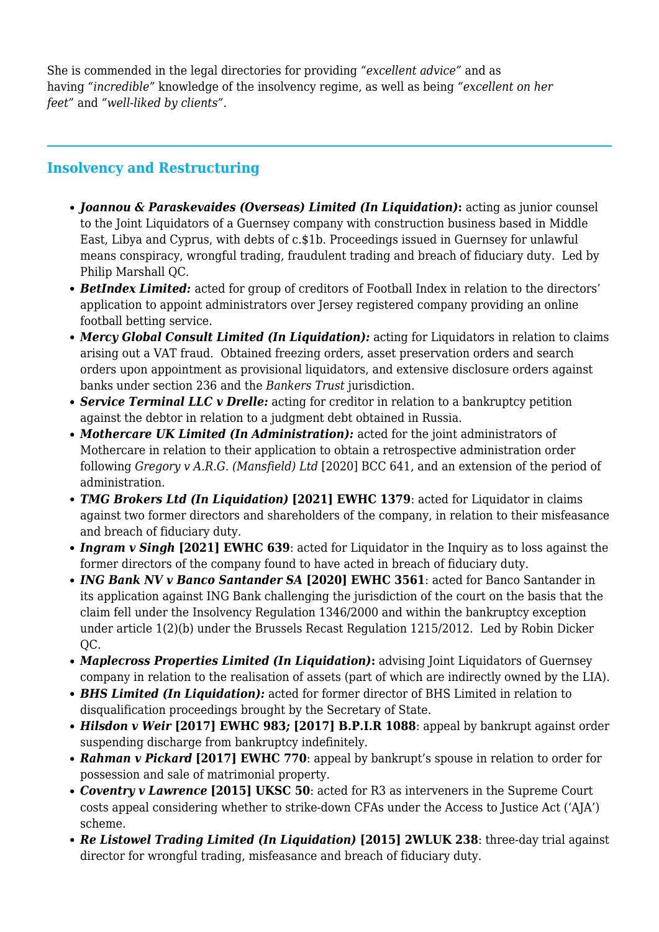She is commended in the legal directories for providing *"excellent advice"* and as having *"incredible"* knowledge of the insolvency regime, as well as being *"excellent on her feet"* and *"well-liked by clients".*

# **Insolvency and Restructuring**

- *Joannou & Paraskevaides (Overseas) Limited (In Liquidation)***:** acting as junior counsel to the Joint Liquidators of a Guernsey company with construction business based in Middle East, Libya and Cyprus, with debts of c.\$1b. Proceedings issued in Guernsey for unlawful means conspiracy, wrongful trading, fraudulent trading and breach of fiduciary duty. Led by Philip Marshall QC.
- *BetIndex Limited:* acted for group of creditors of Football Index in relation to the directors' application to appoint administrators over Jersey registered company providing an online football betting service.
- *Mercy Global Consult Limited (In Liquidation):* acting for Liquidators in relation to claims arising out a VAT fraud. Obtained freezing orders, asset preservation orders and search orders upon appointment as provisional liquidators, and extensive disclosure orders against banks under section 236 and the *Bankers Trust* jurisdiction.
- *Service Terminal LLC v Drelle:* acting for creditor in relation to a bankruptcy petition against the debtor in relation to a judgment debt obtained in Russia.
- *Mothercare UK Limited (In Administration):* acted for the joint administrators of Mothercare in relation to their application to obtain a retrospective administration order following *Gregory v A.R.G. (Mansfield) Ltd* [2020] BCC 641, and an extension of the period of administration.
- *TMG Brokers Ltd (In Liquidation)* **[2021] EWHC 1379**: acted for Liquidator in claims against two former directors and shareholders of the company, in relation to their misfeasance and breach of fiduciary duty.
- *Ingram v Singh* **[2021] EWHC 639**: acted for Liquidator in the Inquiry as to loss against the former directors of the company found to have acted in breach of fiduciary duty.
- *ING Bank NV v Banco Santander SA* **[2020] EWHC 3561**: acted for Banco Santander in its application against ING Bank challenging the jurisdiction of the court on the basis that the claim fell under the Insolvency Regulation 1346/2000 and within the bankruptcy exception under article 1(2)(b) under the Brussels Recast Regulation 1215/2012. Led by Robin Dicker QC.
- *Maplecross Properties Limited (In Liquidation)***:** advising Joint Liquidators of Guernsey company in relation to the realisation of assets (part of which are indirectly owned by the LIA).
- *BHS Limited (In Liquidation):* acted for former director of BHS Limited in relation to disqualification proceedings brought by the Secretary of State.
- *Hilsdon v Weir* **[2017] EWHC 983***;* **[2017] B.P.I.R 1088**: appeal by bankrupt against order suspending discharge from bankruptcy indefinitely.
- *Rahman v Pickard* **[2017] EWHC 770**: appeal by bankrupt's spouse in relation to order for possession and sale of matrimonial property.
- *Coventry v Lawrence* **[2015] UKSC 50**: acted for R3 as interveners in the Supreme Court costs appeal considering whether to strike-down CFAs under the Access to Justice Act ('AJA') scheme.
- *Re Listowel Trading Limited (In Liquidation)* **[2015] 2WLUK 238**: three-day trial against director for wrongful trading, misfeasance and breach of fiduciary duty.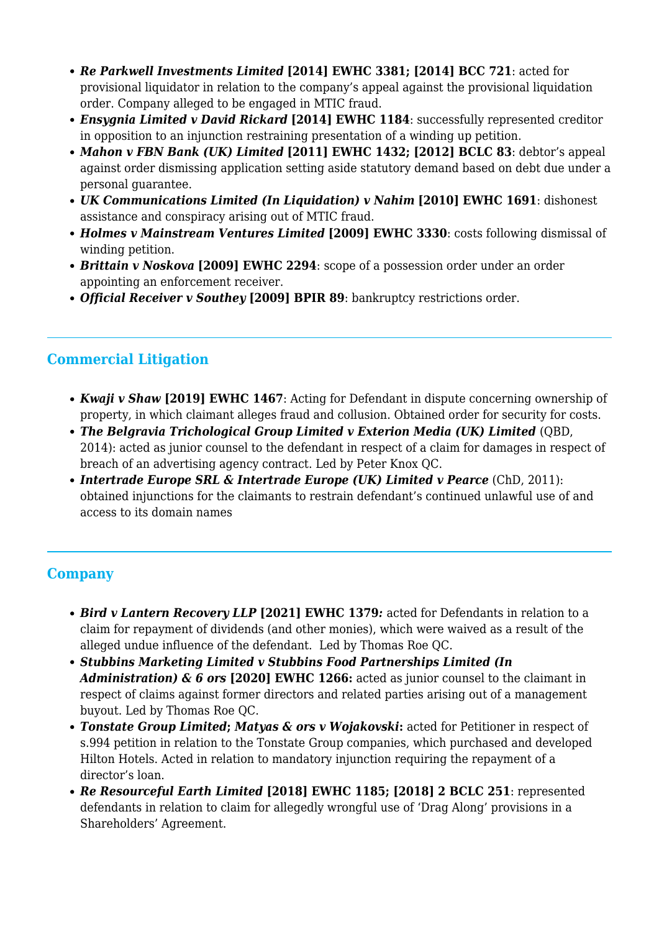- *Re Parkwell Investments Limited* **[2014] EWHC 3381; [2014] BCC 721**: acted for provisional liquidator in relation to the company's appeal against the provisional liquidation order. Company alleged to be engaged in MTIC fraud.
- *Ensygnia Limited v David Rickard* **[2014] EWHC 1184**: successfully represented creditor in opposition to an injunction restraining presentation of a winding up petition.
- *Mahon v FBN Bank (UK) Limited* **[2011] EWHC 1432; [2012] BCLC 83**: debtor's appeal against order dismissing application setting aside statutory demand based on debt due under a personal guarantee.
- *UK Communications Limited (In Liquidation) v Nahim* **[2010] EWHC 1691**: dishonest assistance and conspiracy arising out of MTIC fraud.
- *Holmes v Mainstream Ventures Limited* **[2009] EWHC 3330**: costs following dismissal of winding petition.
- *Brittain v Noskova* **[2009] EWHC 2294**: scope of a possession order under an order appointing an enforcement receiver.
- *Official Receiver v Southey* **[2009] BPIR 89**: bankruptcy restrictions order.

## **Commercial Litigation**

- *Kwaji v Shaw* **[2019] EWHC 1467**: Acting for Defendant in dispute concerning ownership of property, in which claimant alleges fraud and collusion. Obtained order for security for costs.
- *The Belgravia Trichological Group Limited v Exterion Media (UK) Limited* (QBD, 2014): acted as junior counsel to the defendant in respect of a claim for damages in respect of breach of an advertising agency contract. Led by Peter Knox QC.
- *Intertrade Europe SRL & Intertrade Europe (UK) Limited v Pearce* (ChD, 2011): obtained injunctions for the claimants to restrain defendant's continued unlawful use of and access to its domain names

## **Company**

- *Bird v Lantern Recovery LLP* **[2021] EWHC 1379***:* acted for Defendants in relation to a claim for repayment of dividends (and other monies), which were waived as a result of the alleged undue influence of the defendant. Led by Thomas Roe QC.
- *Stubbins Marketing Limited v Stubbins Food Partnerships Limited (In Administration) & 6 ors* **[2020] EWHC 1266:** acted as junior counsel to the claimant in respect of claims against former directors and related parties arising out of a management buyout. Led by Thomas Roe QC.
- *Tonstate Group Limited***;** *Matyas & ors v Wojakovski***:** acted for Petitioner in respect of s.994 petition in relation to the Tonstate Group companies, which purchased and developed Hilton Hotels. Acted in relation to mandatory injunction requiring the repayment of a director's loan.
- *Re Resourceful Earth Limited* **[2018] EWHC 1185; [2018] 2 BCLC 251**: represented defendants in relation to claim for allegedly wrongful use of 'Drag Along' provisions in a Shareholders' Agreement.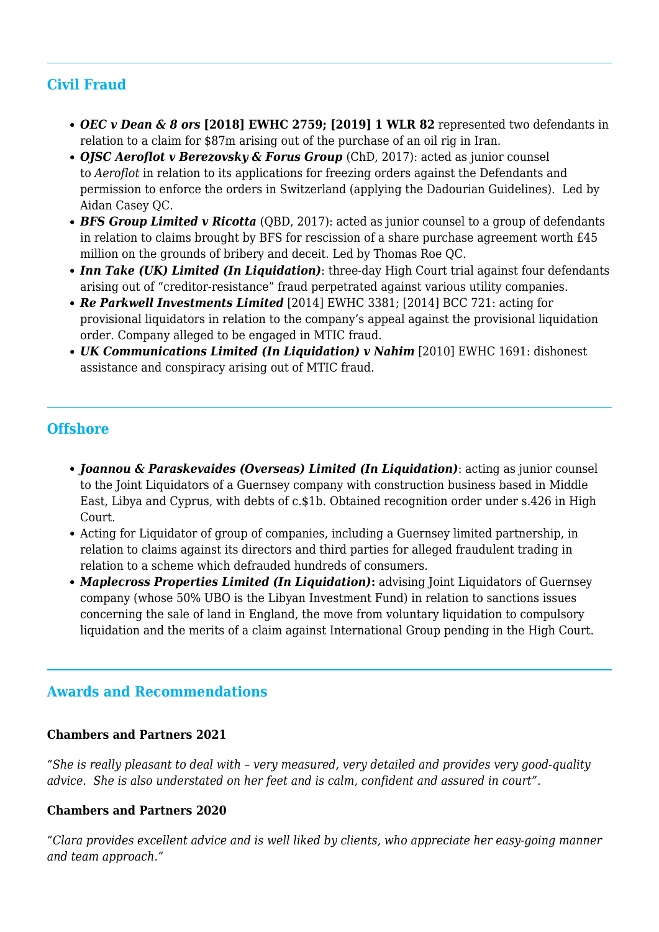# **Civil Fraud**

- *OEC v Dean & 8 ors* **[2018] EWHC 2759; [2019] 1 WLR 82** represented two defendants in relation to a claim for \$87m arising out of the purchase of an oil rig in Iran.
- *OJSC Aeroflot v Berezovsky & Forus Group* (ChD, 2017): acted as junior counsel to *Aeroflot* in relation to its applications for freezing orders against the Defendants and permission to enforce the orders in Switzerland (applying the Dadourian Guidelines). Led by Aidan Casey QC.
- *BFS Group Limited v Ricotta* (QBD, 2017): acted as junior counsel to a group of defendants in relation to claims brought by BFS for rescission of a share purchase agreement worth £45 million on the grounds of bribery and deceit. Led by Thomas Roe QC.
- *Inn Take (UK) Limited (In Liquidation)*: three-day High Court trial against four defendants arising out of "creditor-resistance" fraud perpetrated against various utility companies.
- *Re Parkwell Investments Limited* [2014] EWHC 3381; [2014] BCC 721: acting for provisional liquidators in relation to the company's appeal against the provisional liquidation order. Company alleged to be engaged in MTIC fraud.
- *UK Communications Limited (In Liquidation) v Nahim* [2010] EWHC 1691: dishonest assistance and conspiracy arising out of MTIC fraud.

### **Offshore**

- *Joannou & Paraskevaides (Overseas) Limited (In Liquidation)*: acting as junior counsel to the Joint Liquidators of a Guernsey company with construction business based in Middle East, Libya and Cyprus, with debts of c.\$1b. Obtained recognition order under s.426 in High Court.
- Acting for Liquidator of group of companies, including a Guernsey limited partnership, in relation to claims against its directors and third parties for alleged fraudulent trading in relation to a scheme which defrauded hundreds of consumers.
- *Maplecross Properties Limited (In Liquidation)***:** advising Joint Liquidators of Guernsey company (whose 50% UBO is the Libyan Investment Fund) in relation to sanctions issues concerning the sale of land in England, the move from voluntary liquidation to compulsory liquidation and the merits of a claim against International Group pending in the High Court.

## **Awards and Recommendations**

#### **Chambers and Partners 2021**

*"She is really pleasant to deal with – very measured, very detailed and provides very good-quality advice. She is also understated on her feet and is calm, confident and assured in court".*

#### **Chambers and Partners 2020**

*"Clara provides excellent advice and is well liked by clients, who appreciate her easy-going manner and team approach."*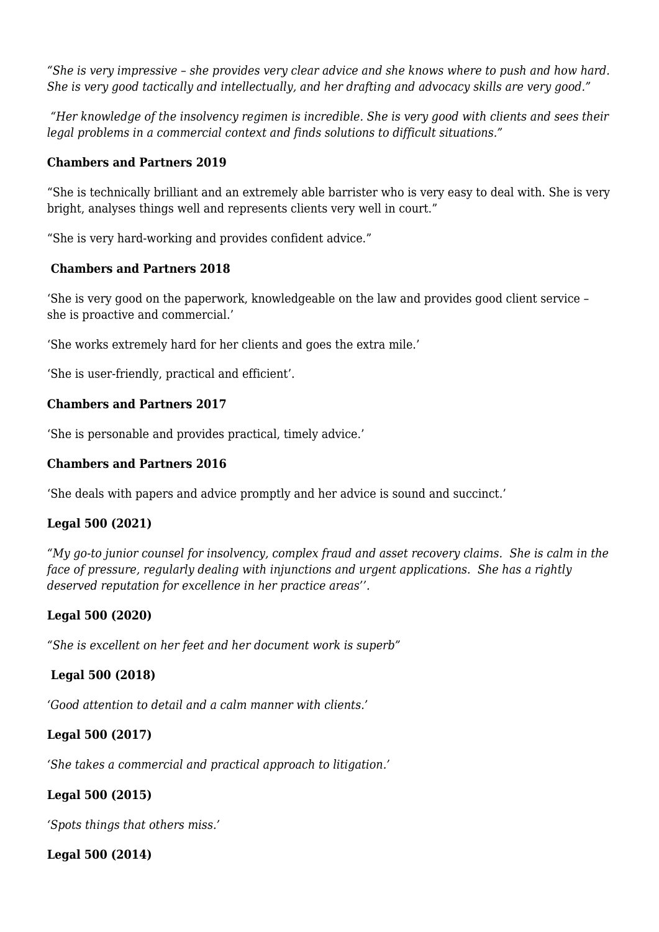*"She is very impressive – she provides very clear advice and she knows where to push and how hard. She is very good tactically and intellectually, and her drafting and advocacy skills are very good."*

 *"Her knowledge of the insolvency regimen is incredible. She is very good with clients and sees their legal problems in a commercial context and finds solutions to difficult situations."*

#### **Chambers and Partners 2019**

"She is technically brilliant and an extremely able barrister who is very easy to deal with. She is very bright, analyses things well and represents clients very well in court."

"She is very hard-working and provides confident advice."

#### **Chambers and Partners 2018**

'She is very good on the paperwork, knowledgeable on the law and provides good client service – she is proactive and commercial.'

'She works extremely hard for her clients and goes the extra mile.'

'She is user-friendly, practical and efficient'.

#### **Chambers and Partners 2017**

'She is personable and provides practical, timely advice.'

#### **Chambers and Partners 2016**

'She deals with papers and advice promptly and her advice is sound and succinct.'

#### **Legal 500 (2021)**

*"My go-to junior counsel for insolvency, complex fraud and asset recovery claims. She is calm in the face of pressure, regularly dealing with injunctions and urgent applications. She has a rightly deserved reputation for excellence in her practice areas''.*

#### **Legal 500 (2020)**

*"She is excellent on her feet and her document work is superb"*

#### **Legal 500 (2018)**

*'Good attention to detail and a calm manner with clients.'*

#### **Legal 500 (2017)**

*'She takes a commercial and practical approach to litigation.'*

#### **Legal 500 (2015)**

*'Spots things that others miss.'*

#### **Legal 500 (2014)**